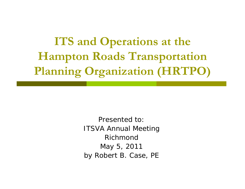**ITS and Operations at the Hampton Roads Transportation Planning Organization (HRTPO)**

> Presented to:ITSVA Annual Meeting RichmondMay 5, 2011 by Robert B. Case, PE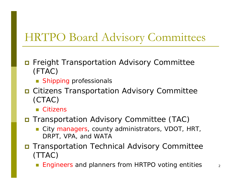#### HRTPO Board Advisory Commi visory Comm ittees

- $\Box$  Freight Transportation Advisory Committee (FTAC)
	- **Shipping professionals**
- **O** Citizens Transportation Advisory Committee (CTAC)
	- Citizens

#### **O Transportation Advisory Committee (TAC)**

- F City managers, county administrators, VDOT, HRT, DRPT, VPA, and WATA
- **O Transportation Technical Advisory Committee** (TTAC)
	- F Engineers and planners from HRTPO voting entities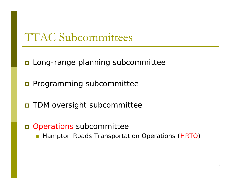#### TTAC Subcommittees

- **E** Long-range planning subcommittee
- **Programming subcommittee**
- **O** TDM oversight subcommittee
- □ Operations subcommittee
	- **Hampton Roads Transportation Operations (HRTO)**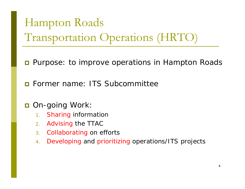# Hampton Roads Transportation Operations (HRTO)

- **D** Purpose: to improve operations in Hampton Roads
- **n** Former name: ITS Subcommittee
- On-going Work:
	- 1.Sharing information
	- 2.Advising the TTAC
	- 3.. Collaborating on efforts
	- 4.Developing and prioritizing operations/ITS projects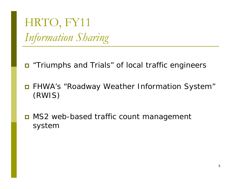HRTO, FY11 *I f ti Sh i Information Sharing*

- "Triumphs and Trials" of local traffic engineers
- FHWA's "Roadway Weather Information System" (RWIS)
- MS2 web-based traffic count management system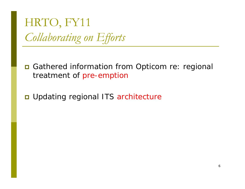HRTO, FY11 *C ll b ti Eff <sup>t</sup> Collaborating on Efforts*

■ Gathered information from Opticom re: regional treatment of pre-emption

■ Updating regional ITS architecture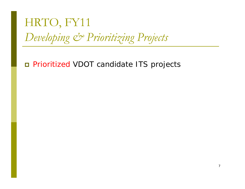## HRTO, FY11 Developing & Prioritizing Projects

Prioritized VDOT candidate ITS projects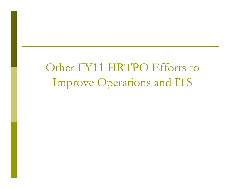Other FY11 HRTPO Efforts to Improve Operations and ITS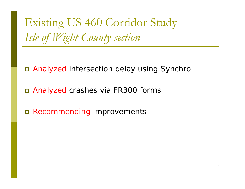Existing US 460 Corridor Study *I l f Wi ht C <sup>t</sup> ti Isle of Wight Coun ty section*

Analyzed intersection delay using Synchro

Analyzed crashes via FR300 forms

Recommending improvements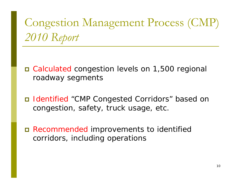#### Congestion Management Process (CMP) *2010 R p <sup>t</sup> eport*

 Calculated congestion levels on 1,500 regional roadway segments

- Identified "CMP Congested Corridors" based on congestion, safety, truck usage, etc.
- Recommended improvements to identified corridors, including operations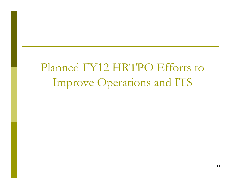## Planned FY12 HRTPO Efforts to Improve Operations and ITS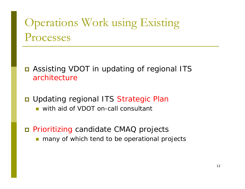## Operations Work using Existing Processes

- Assisting VDOT in updating of regional ITS architecture
- Updating regional ITS Strategic Plan **u** with aid of VDOT on-call consultant
- Prioritizing candidate CMAQ projects **n** many of which tend to be operational projects